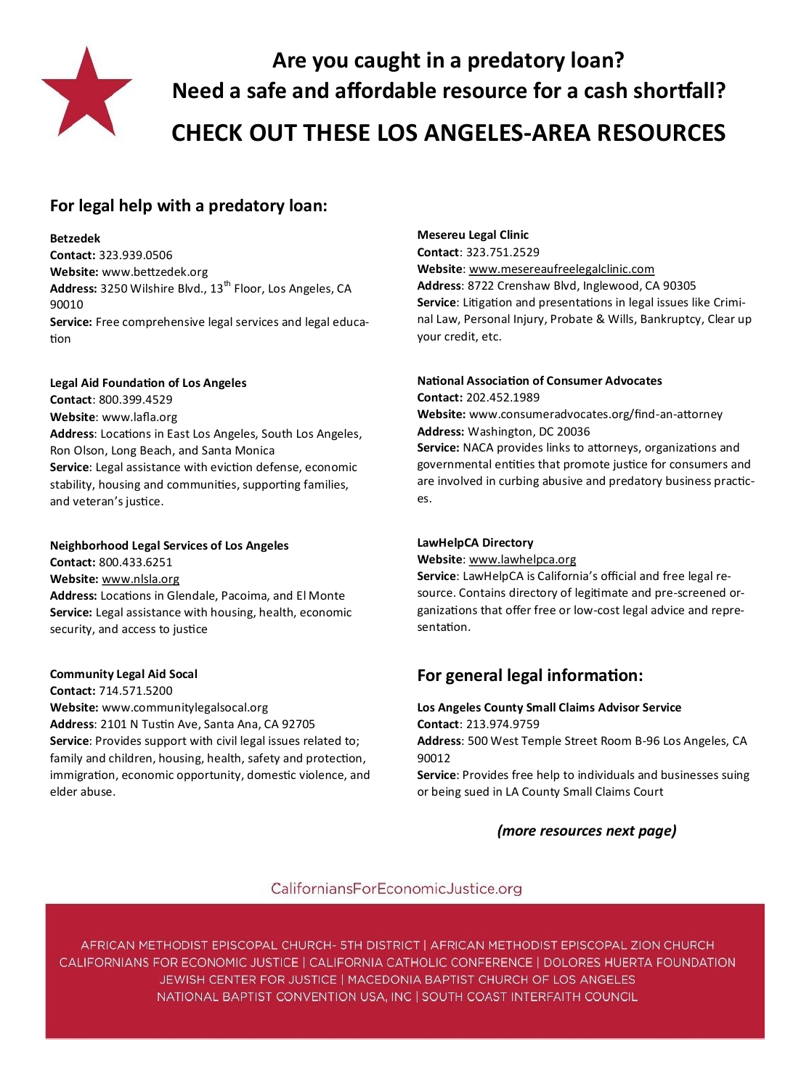

# **Are you caught in a predatory loan? Need a safe and affordable resource for a cash shortfall? CHECK OUT THESE LOS ANGELES-AREA RESOURCES**

## **For legal help with a predatory loan:**

#### **Betzedek**

**Contact:** 323.939.0506 **Website:** www.bettzedek.org Address: 3250 Wilshire Blvd., 13<sup>th</sup> Floor, Los Angeles, CA 90010 **Service:** Free comprehensive legal services and legal education

## **Legal Aid Foundation of Los Angeles**

**Contact**: 800.399.4529 **Website**: www.lafla.org **Address**: Locations in East Los Angeles, South Los Angeles, Ron Olson, Long Beach, and Santa Monica **Service**: Legal assistance with eviction defense, economic stability, housing and communities, supporting families, and veteran's justice.

## **Neighborhood Legal Services of Los Angeles**

**Contact:** 800.433.6251 **Website:** [www.nlsla.org](http://www.nlsla.org) **Address:** Locations in Glendale, Pacoima, and El Monte **Service:** Legal assistance with housing, health, economic security, and access to justice

## **Community Legal Aid Socal**

**Contact:** 714.571.5200 **Website:** www.communitylegalsocal.org **Address**: 2101 N Tustin Ave, Santa Ana, CA 92705 **Service**: Provides support with civil legal issues related to; family and children, housing, health, safety and protection, immigration, economic opportunity, domestic violence, and elder abuse.

## **Mesereu Legal Clinic**

**Contact**: 323.751.2529 **Website**: [www.mesereaufreelegalclinic.com](http://www.mesereaufreelegalclinic.com) **Address**: 8722 Crenshaw Blvd, Inglewood, CA 90305 **Service**: Litigation and presentations in legal issues like Criminal Law, Personal Injury, Probate & Wills, Bankruptcy, Clear up your credit, etc.

## **National Association of Consumer Advocates**

**Contact:** 202.452.1989

**Website:** www.consumeradvocates.org/find-an-attorney **Address:** Washington, DC 20036

**Service:** NACA provides links to attorneys, organizations and governmental entities that promote justice for consumers and are involved in curbing abusive and predatory business practices.

## **LawHelpCA Directory**

**Website**: [www.lawhelpca.org](http://www.lawhelpca.org)

**Service**: LawHelpCA is California's official and free legal resource. Contains directory of legitimate and pre-screened organizations that offer free or low-cost legal advice and representation.

## **For general legal information:**

## **Los Angeles County Small Claims Advisor Service Contact**: 213.974.9759

**Address**: 500 West Temple Street Room B-96 Los Angeles, CA 90012

**Service**: Provides free help to individuals and businesses suing or being sued in LA County Small Claims Court

## *(more resources next page)*

## CaliforniansForEconomicJustice.org

AFRICAN METHODIST EPISCOPAL CHURCH- 5TH DISTRICT | AFRICAN METHODIST EPISCOPAL ZION CHURCH CALIFORNIANS FOR ECONOMIC JUSTICE | CALIFORNIA CATHOLIC CONFERENCE | DOLORES HUERTA FOUNDATION JEWISH CENTER FOR JUSTICE | MACEDONIA BAPTIST CHURCH OF LOS ANGELES NATIONAL BAPTIST CONVENTION USA, INC | SOUTH COAST INTERFAITH COUNCIL